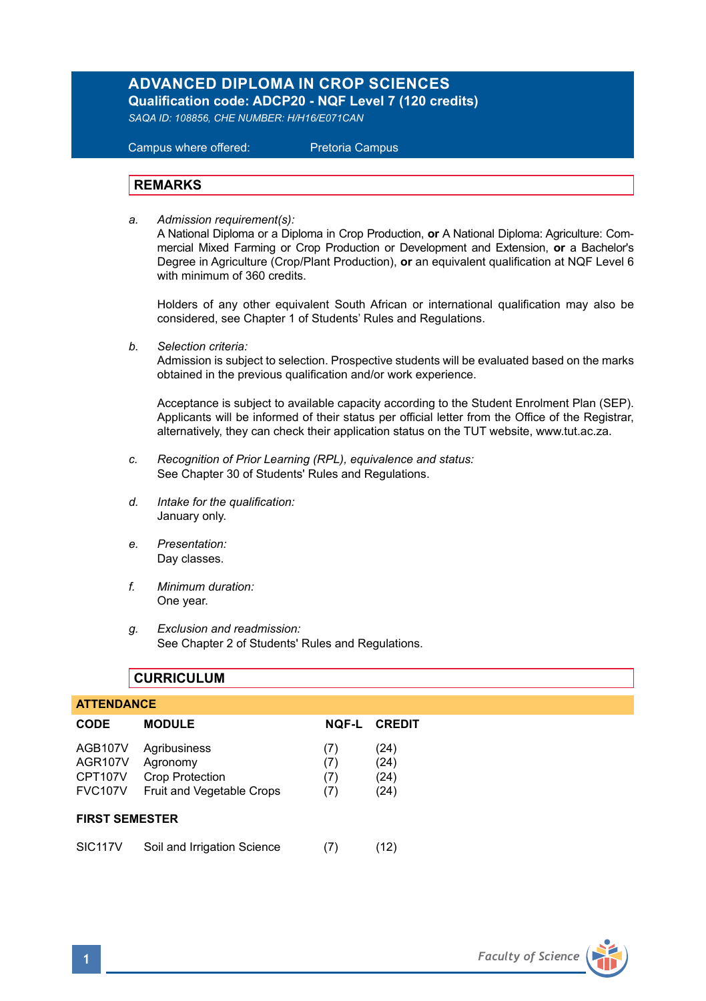# **ADVANCED DIPLOMA IN CROP SCIENCES Qualification code: ADCP20 - NQF Level 7 (120 credits)**

*SAQA ID: 108856, CHE NUMBER: H/H16/E071CAN* 

 Campus where offered: Pretoria Campus

### **REMARKS**

*a. Admission requirement(s):* 

A National Diploma or a Diploma in Crop Production, **or** A National Diploma: Agriculture: Commercial Mixed Farming or Crop Production or Development and Extension, **or** a Bachelor's Degree in Agriculture (Crop/Plant Production), **or** an equivalent qualification at NQF Level 6 with minimum of 360 credits.

Holders of any other equivalent South African or international qualification may also be considered, see Chapter 1 of Students' Rules and Regulations.

*b. Selection criteria:*

Admission is subject to selection. Prospective students will be evaluated based on the marks obtained in the previous qualification and/or work experience.

Acceptance is subject to available capacity according to the Student Enrolment Plan (SEP). Applicants will be informed of their status per official letter from the Office of the Registrar, alternatively, they can check their application status on the TUT website, www.tut.ac.za.

- *c. Recognition of Prior Learning (RPL), equivalence and status:* See Chapter 30 of Students' Rules and Regulations.
- *d. Intake for the qualification:* January only.
- *e. Presentation:* Day classes.
- *f. Minimum duration:* One year.
- *g. Exclusion and readmission:* See Chapter 2 of Students' Rules and Regulations.

# **CURRICULUM**

| ATTENDANCE                               |                                                                          |                          |                              |  |  |
|------------------------------------------|--------------------------------------------------------------------------|--------------------------|------------------------------|--|--|
| CODE                                     | <b>MODULE</b>                                                            | NOF-L                    | <b>CREDIT</b>                |  |  |
| AGB107V<br>AGR107V<br>CPT107V<br>FVC107V | Agribusiness<br>Agronomy<br>Crop Protection<br>Fruit and Vegetable Crops | (7)<br>(7)<br>(7)<br>(7) | (24)<br>(24)<br>(24)<br>(24) |  |  |
| <b>FIRST SEMESTER</b>                    |                                                                          |                          |                              |  |  |
| SIC117V                                  | Soil and Irrigation Science                                              | (7)                      | (12)                         |  |  |